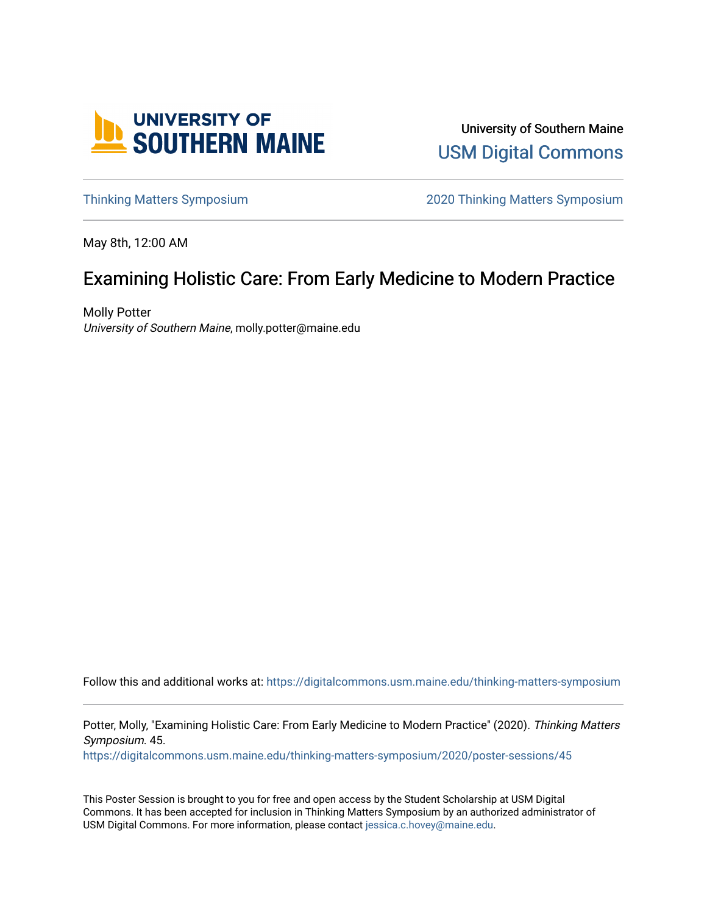

University of Southern Maine [USM Digital Commons](https://digitalcommons.usm.maine.edu/) 

[Thinking Matters Symposium](https://digitalcommons.usm.maine.edu/thinking-matters-symposium) [2020 Thinking Matters Symposium](https://digitalcommons.usm.maine.edu/thinking-matters-symposium/2020) 

May 8th, 12:00 AM

#### Examining Holistic Care: From Early Medicine to Modern Practice

Molly Potter University of Southern Maine, molly.potter@maine.edu

Follow this and additional works at: [https://digitalcommons.usm.maine.edu/thinking-matters-symposium](https://digitalcommons.usm.maine.edu/thinking-matters-symposium?utm_source=digitalcommons.usm.maine.edu%2Fthinking-matters-symposium%2F2020%2Fposter-sessions%2F45&utm_medium=PDF&utm_campaign=PDFCoverPages) 

Potter, Molly, "Examining Holistic Care: From Early Medicine to Modern Practice" (2020). Thinking Matters Symposium. 45.

[https://digitalcommons.usm.maine.edu/thinking-matters-symposium/2020/poster-sessions/45](https://digitalcommons.usm.maine.edu/thinking-matters-symposium/2020/poster-sessions/45?utm_source=digitalcommons.usm.maine.edu%2Fthinking-matters-symposium%2F2020%2Fposter-sessions%2F45&utm_medium=PDF&utm_campaign=PDFCoverPages) 

This Poster Session is brought to you for free and open access by the Student Scholarship at USM Digital Commons. It has been accepted for inclusion in Thinking Matters Symposium by an authorized administrator of USM Digital Commons. For more information, please contact [jessica.c.hovey@maine.edu](mailto:ian.fowler@maine.edu).